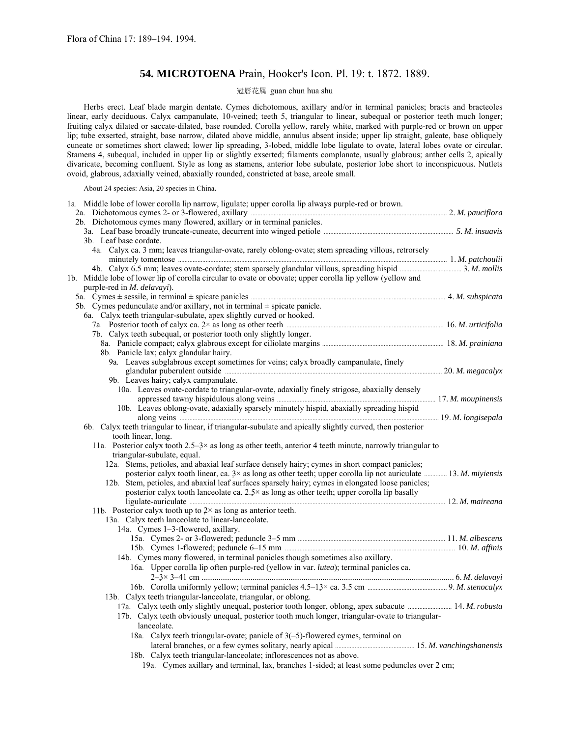# **54. MICROTOENA** Prain, Hooker's Icon. Pl. 19: t. 1872. 1889.

# 冠唇花属 guan chun hua shu

Herbs erect. Leaf blade margin dentate. Cymes dichotomous, axillary and/or in terminal panicles; bracts and bracteoles linear, early deciduous. Calyx campanulate, 10-veined; teeth 5, triangular to linear, subequal or posterior teeth much longer; fruiting calyx dilated or saccate-dilated, base rounded. Corolla yellow, rarely white, marked with purple-red or brown on upper lip; tube exserted, straight, base narrow, dilated above middle, annulus absent inside; upper lip straight, galeate, base obliquely cuneate or sometimes short clawed; lower lip spreading, 3-lobed, middle lobe ligulate to ovate, lateral lobes ovate or circular. Stamens 4, subequal, included in upper lip or slightly exserted; filaments complanate, usually glabrous; anther cells 2, apically divaricate, becoming confluent. Style as long as stamens, anterior lobe subulate, posterior lobe short to inconspicuous. Nutlets ovoid, glabrous, adaxially veined, abaxially rounded, constricted at base, areole small.

About 24 species: Asia, 20 species in China.

| 1a. Middle lobe of lower corolla lip narrow, ligulate; upper corolla lip always purple-red or brown.<br>2a. Dichotomous cymes 2- or 3-flowered, axillary manufactured and the manufactured and the 2. M. pauciflora |  |
|---------------------------------------------------------------------------------------------------------------------------------------------------------------------------------------------------------------------|--|
|                                                                                                                                                                                                                     |  |
|                                                                                                                                                                                                                     |  |
|                                                                                                                                                                                                                     |  |
| 3b. Leaf base cordate.                                                                                                                                                                                              |  |
| 4a. Calyx ca. 3 mm; leaves triangular-ovate, rarely oblong-ovate; stem spreading villous, retrorsely                                                                                                                |  |
|                                                                                                                                                                                                                     |  |
|                                                                                                                                                                                                                     |  |
| 1b. Middle lobe of lower lip of corolla circular to ovate or obovate; upper corolla lip yellow (yellow and                                                                                                          |  |
| purple-red in <i>M. delavayi</i> ).                                                                                                                                                                                 |  |
|                                                                                                                                                                                                                     |  |
| 5b. Cymes pedunculate and/or axillary, not in terminal $\pm$ spicate panicle.                                                                                                                                       |  |
| 6a. Calyx teeth triangular-subulate, apex slightly curved or hooked.                                                                                                                                                |  |
|                                                                                                                                                                                                                     |  |
| 7b. Calyx teeth subequal, or posterior tooth only slightly longer.                                                                                                                                                  |  |
|                                                                                                                                                                                                                     |  |
| 8b. Panicle lax; calyx glandular hairy.                                                                                                                                                                             |  |
|                                                                                                                                                                                                                     |  |
| 9a. Leaves subglabrous except sometimes for veins; calyx broadly campanulate, finely                                                                                                                                |  |
|                                                                                                                                                                                                                     |  |
| 9b. Leaves hairy; calyx campanulate.                                                                                                                                                                                |  |
| 10a. Leaves ovate-cordate to triangular-ovate, adaxially finely strigose, abaxially densely                                                                                                                         |  |
|                                                                                                                                                                                                                     |  |
| 10b. Leaves oblong-ovate, adaxially sparsely minutely hispid, abaxially spreading hispid                                                                                                                            |  |
|                                                                                                                                                                                                                     |  |
| 6b. Calyx teeth triangular to linear, if triangular-subulate and apically slightly curved, then posterior                                                                                                           |  |
| tooth linear, long.                                                                                                                                                                                                 |  |
|                                                                                                                                                                                                                     |  |
|                                                                                                                                                                                                                     |  |
| 11a. Posterior calyx tooth 2.5–3× as long as other teeth, anterior 4 teeth minute, narrowly triangular to                                                                                                           |  |
| triangular-subulate, equal.                                                                                                                                                                                         |  |
| 12a. Stems, petioles, and abaxial leaf surface densely hairy; cymes in short compact panicles;                                                                                                                      |  |
| posterior calyx tooth linear, ca. $3 \times$ as long as other teeth; upper corolla lip not auriculate  13. M. miyiensis                                                                                             |  |
| 12b. Stem, petioles, and abaxial leaf surfaces sparsely hairy; cymes in elongated loose panicles;                                                                                                                   |  |
| posterior calyx tooth lanceolate ca. $2.5^{\times}$ as long as other teeth; upper corolla lip basally                                                                                                               |  |
|                                                                                                                                                                                                                     |  |
| 11b. Posterior calyx tooth up to $2 \times$ as long as anterior teeth.                                                                                                                                              |  |
| 13a. Calyx teeth lanceolate to linear-lanceolate.                                                                                                                                                                   |  |
| 14a. Cymes 1-3-flowered, axillary.                                                                                                                                                                                  |  |
|                                                                                                                                                                                                                     |  |
|                                                                                                                                                                                                                     |  |
| 14b. Cymes many flowered, in terminal panicles though sometimes also axillary.                                                                                                                                      |  |
| 16a. Upper corolla lip often purple-red (yellow in var. <i>lutea</i> ); terminal panicles ca.                                                                                                                       |  |
|                                                                                                                                                                                                                     |  |
|                                                                                                                                                                                                                     |  |
|                                                                                                                                                                                                                     |  |
| 13b. Calyx teeth triangular-lanceolate, triangular, or oblong.                                                                                                                                                      |  |
| 17a. Calyx teeth only slightly unequal, posterior tooth longer, oblong, apex subacute  14. M. robusta                                                                                                               |  |
| 17b. Calyx teeth obviously unequal, posterior tooth much longer, triangular-ovate to triangular-                                                                                                                    |  |
| lanceolate.                                                                                                                                                                                                         |  |
| 18a. Calyx teeth triangular-ovate; panicle of 3(-5)-flowered cymes, terminal on                                                                                                                                     |  |
|                                                                                                                                                                                                                     |  |
| 18b. Calyx teeth triangular-lanceolate; inflorescences not as above.<br>19a. Cymes axillary and terminal, lax, branches 1-sided; at least some peduncles over 2 cm;                                                 |  |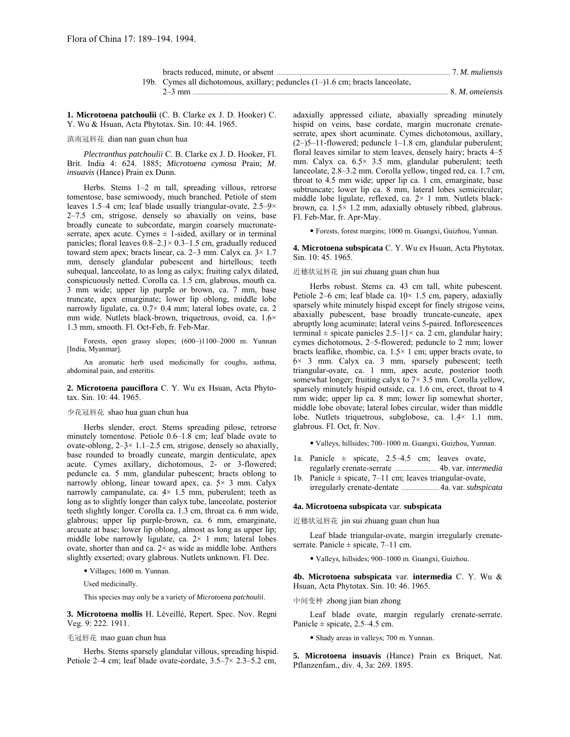| bracts reduced, minute, or absent manufactured and the state of M. mullensis   |                 |
|--------------------------------------------------------------------------------|-----------------|
| 19b. Cymes all dichotomous, axillary; peduncles (1–)1.6 cm; bracts lanceolate, |                 |
| $2-3$ mm                                                                       | 8. M. omeiensis |

**1. Microtoena patchoulii** (C. B. Clarke ex J. D. Hooker) C. Y. Wu & Hsuan, Acta Phytotax. Sin. 10: 44. 1965.

滇南冠唇花 dian nan guan chun hua

*Plectranthus patchoulii* C. B. Clarke ex J. D. Hooker, Fl. Brit. India 4: 624. 1885; *Microtoena cymosa* Prain; *M*. *insuavis* (Hance) Prain ex Dunn.

Herbs. Stems  $1-2$  m tall, spreading villous, retrorse tomentose, base semiwoody, much branched. Petiole of stem leaves 1.5–4 cm; leaf blade usually triangular-ovate,  $2.5-9\times$  $2-7.5$  cm, strigose, densely so abaxially on veins, base broadly cuneate to subcordate, margin coarsely mucronateserrate, apex acute. Cymes  $\pm$  1-sided, axillary or in terminal panicles; floral leaves  $0.8-2.1\times 0.3-1.5$  cm, gradually reduced toward stem apex; bracts linear, ca.  $2-3$  mm. Calyx ca.  $3 \times 1.7$ mm, densely glandular pubescent and hirtellous; teeth subequal, lanceolate, to as long as calyx; fruiting calyx dilated, conspicuously netted. Corolla ca. 1.5 cm, glabrous, mouth ca. 3 mm wide; upper lip purple or brown, ca. 7 mm, base truncate, apex emarginate; lower lip oblong, middle lobe narrowly ligulate, ca. 0.7× 0.4 mm; lateral lobes ovate, ca. 2 mm wide. Nutlets black-brown, triquetrous, ovoid, ca. 1.6× 1.3 mm, smooth. Fl. Oct-Feb, fr. Feb-Mar.

Forests, open grassy slopes;  $(600-1100-2000$  m. Yunnan [India, Myanmar].

An aromatic herb used medicinally for coughs, asthma, abdominal pain, and enteritis.

**2. Microtoena pauciflora** C. Y. Wu ex Hsuan, Acta Phytotax. Sin. 10: 44. 1965.

#### 少花冠唇花 shao hua guan chun hua

Herbs slender, erect. Stems spreading pilose, retrorse minutely tomentose. Petiole  $0.6-1.8$  cm; leaf blade ovate to ovate-oblong,  $2-3 \times 1.1-2.5$  cm, strigose, densely so abaxially, base rounded to broadly cuneate, margin denticulate, apex acute. Cymes axillary, dichotomous, 2- or 3-flowered; peduncle ca. 5 mm, glandular pubescent; bracts oblong to narrowly oblong, linear toward apex, ca.  $5 \times 3$  mm. Calyx narrowly campanulate, ca.  $4 \times 1.5$  mm, puberulent; teeth as long as to slightly longer than calyx tube, lanceolate, posterior teeth slightly longer. Corolla ca. 1.3 cm, throat ca. 6 mm wide, glabrous; upper lip purple-brown, ca. 6 mm, emarginate, arcuate at base; lower lip oblong, almost as long as upper lip; middle lobe narrowly ligulate, ca.  $2 \times 1$  mm; lateral lobes ovate, shorter than and ca.  $2 \times$  as wide as middle lobe. Anthers slightly exserted; ovary glabrous. Nutlets unknown. Fl. Dec.

 $\bullet$  Villages; 1600 m. Yunnan.

Used medicinally.

This species may only be a variety of *Microtoena patchoulii*.

**3. Microtoena mollis** H. LÈveillÈ, Repert. Spec. Nov. Regni Veg. 9: 222. 1911.

## 毛冠唇花 mao guan chun hua

Herbs. Stems sparsely glandular villous, spreading hispid. Petiole 2–4 cm; leaf blade ovate-cordate,  $3.5-7 \times 2.3-5.2$  cm,

adaxially appressed ciliate, abaxially spreading minutely hispid on veins, base cordate, margin mucronate crenateserrate, apex short acuminate. Cymes dichotomous, axillary,  $(2–)5–11$ -flowered; peduncle 1–1.8 cm, glandular puberulent; floral leaves similar to stem leaves, densely hairy; bracts  $4-5$ mm. Calyx ca.  $6.5 \times 3.5$  mm, glandular puberulent; teeth lanceolate, 2.8–3.2 mm. Corolla yellow, tinged red, ca. 1.7 cm, throat to 4.5 mm wide; upper lip ca. 1 cm, emarginate, base subtruncate; lower lip ca. 8 mm, lateral lobes semicircular; middle lobe ligulate, reflexed, ca. 2× 1 mm. Nutlets blackbrown, ca. 1.5× 1.2 mm, adaxially obtusely ribbed, glabrous. Fl. Feb-Mar, fr. Apr-May.

ï Forests, forest margins; 1000 m. Guangxi, Guizhou, Yunnan.

**4. Microtoena subspicata** C. Y. Wu ex Hsuan, Acta Phytotax. Sin. 10: 45. 1965.

近穗状冠唇花 jin sui zhuang guan chun hua

Herbs robust. Stems ca. 43 cm tall, white pubescent. Petiole 2–6 cm; leaf blade ca.  $10 \times 1.5$  cm, papery, adaxially sparsely white minutely hispid except for finely strigose veins, abaxially pubescent, base broadly truncate-cuneate, apex abruptly long acuminate; lateral veins 5-paired. Inflorescences terminal  $\pm$  spicate panicles 2.5–11× ca. 2 cm, glandular hairy; cymes dichotomous, 2-5-flowered; peduncle to 2 mm; lower bracts leaflike, rhombic, ca.  $1.5 \times 1$  cm; upper bracts ovate, to  $6 \times 3$  mm. Calyx ca. 3 mm, sparsely pubescent; teeth triangular-ovate, ca. 1 mm, apex acute, posterior tooth somewhat longer; fruiting calyx to  $7 \times 3.5$  mm. Corolla yellow, sparsely minutely hispid outside, ca. 1.6 cm, erect, throat to 4 mm wide; upper lip ca. 8 mm; lower lip somewhat shorter, middle lobe obovate; lateral lobes circular, wider than middle lobe. Nutlets triquetrous, subglobose, ca. 1.4× 1.1 mm, glabrous. Fl. Oct, fr. Nov.

· Valleys, hillsides; 700-1000 m. Guangxi, Guizhou, Yunnan.

- 1a. Panicle  $\pm$  spicate, 2.5–4.5 cm; leaves ovate, regularly crenate-serrate .......................... 4b. var. *intermedia*
- 1b. Panicle  $\pm$  spicate, 7–11 cm; leaves triangular-ovate, irregularly crenate-dentate ....................... 4a. var. *subspicata*

# **4a. Microtoena subspicata** var. **subspicata**

近穗状冠唇花 jin sui zhuang guan chun hua

Leaf blade triangular-ovate, margin irregularly crenateserrate. Panicle  $\pm$  spicate, 7–11 cm.

· Valleys, hillsides; 900-1000 m. Guangxi, Guizhou.

**4b. Microtoena subspicata** var. **intermedia** C. Y. Wu & Hsuan, Acta Phytotax. Sin. 10: 46. 1965.

中间变种 zhong jian bian zhong

Leaf blade ovate, margin regularly crenate-serrate. Panicle  $\pm$  spicate, 2.5–4.5 cm.

ï Shady areas in valleys; 700 m. Yunnan.

**5. Microtoena insuavis** (Hance) Prain ex Briquet, Nat. Pflanzenfam., div. 4, 3a: 269. 1895.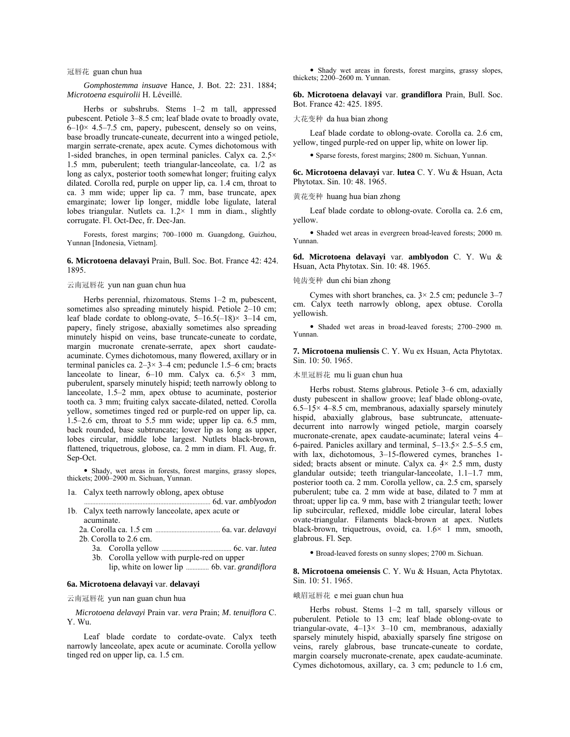## 冠唇花 guan chun hua

*Gomphostemma insuave* Hance, J. Bot. 22: 231. 1884; *Microtoena esquirolii* H. LÈveillÈ.

Herbs or subshrubs. Stems  $1-2$  m tall, appressed pubescent. Petiole 3–8.5 cm; leaf blade ovate to broadly ovate,  $6-10\times$  4.5–7.5 cm, papery, pubescent, densely so on veins, base broadly truncate-cuneate, decurrent into a winged petiole, margin serrate-crenate, apex acute. Cymes dichotomous with 1-sided branches, in open terminal panicles. Calyx ca. 2.5× 1.5 mm, puberulent; teeth triangular-lanceolate, ca. 1/2 as long as calyx, posterior tooth somewhat longer; fruiting calyx dilated. Corolla red, purple on upper lip, ca. 1.4 cm, throat to ca. 3 mm wide; upper lip ca. 7 mm, base truncate, apex emarginate; lower lip longer, middle lobe ligulate, lateral lobes triangular. Nutlets ca.  $1.2 \times 1$  mm in diam., slightly corrugate. Fl. Oct-Dec, fr. Dec-Jan.

Forests, forest margins; 700-1000 m. Guangdong, Guizhou, Yunnan [Indonesia, Vietnam].

## **6. Microtoena delavayi** Prain, Bull. Soc. Bot. France 42: 424. 1895.

## 云南冠唇花 yun nan guan chun hua

Herbs perennial, rhizomatous. Stems  $1-2$  m, pubescent, sometimes also spreading minutely hispid. Petiole  $2-10$  cm; leaf blade cordate to oblong-ovate,  $5-16.5(-18) \times 3-14$  cm, papery, finely strigose, abaxially sometimes also spreading minutely hispid on veins, base truncate-cuneate to cordate, margin mucronate crenate-serrate, apex short caudateacuminate. Cymes dichotomous, many flowered, axillary or in terminal panicles ca.  $2-3 \times 3-4$  cm; peduncle 1.5-6 cm; bracts lanceolate to linear,  $6-10$  mm. Calyx ca.  $6.5 \times 3$  mm, puberulent, sparsely minutely hispid; teeth narrowly oblong to lanceolate,  $1.5-2$  mm, apex obtuse to acuminate, posterior tooth ca. 3 mm; fruiting calyx saccate-dilated, netted. Corolla yellow, sometimes tinged red or purple-red on upper lip, ca.  $1.5-2.6$  cm, throat to 5.5 mm wide; upper lip ca. 6.5 mm, back rounded, base subtruncate; lower lip as long as upper, lobes circular, middle lobe largest. Nutlets black-brown, flattened, triquetrous, globose, ca. 2 mm in diam. Fl. Aug, fr. Sep-Oct.

• Shady, wet areas in forests, forest margins, grassy slopes, thickets; 2000-2900 m. Sichuan, Yunnan.

- 1a. Calyx teeth narrowly oblong, apex obtuse
- .............................................................................. 6d. var. *amblyodon* 1b. Calyx teeth narrowly lanceolate, apex acute or acuminate.

 2a. Corolla ca. 1.5 cm ........................................ 6a. var. *delavayi* 2b. Corolla to 2.6 cm.

- 3a. Corolla yellow ........................................... 6c. var. *lutea* 3b. Corolla yellow with purple-red on upper
	- lip, white on lower lip .............. 6b. var. *grandiflora*

#### **6a. Microtoena delavayi** var. **delavayi**

云南冠唇花 yun nan guan chun hua

 *Microtoena delavayi* Prain var. *vera* Prain; *M*. *tenuiflora* C. Y. Wu.

Leaf blade cordate to cordate-ovate. Calyx teeth narrowly lanceolate, apex acute or acuminate. Corolla yellow tinged red on upper lip, ca. 1.5 cm.

• Shady wet areas in forests, forest margins, grassy slopes, thickets; 2200–2600 m. Yunnan.

**6b. Microtoena delavayi** var. **grandiflora** Prain, Bull. Soc. Bot. France 42: 425. 1895.

#### 大花变种 da hua bian zhong

Leaf blade cordate to oblong-ovate. Corolla ca. 2.6 cm, yellow, tinged purple-red on upper lip, white on lower lip.

ï Sparse forests, forest margins; 2800 m. Sichuan, Yunnan.

**6c. Microtoena delavayi** var. **lutea** C. Y. Wu & Hsuan, Acta Phytotax. Sin. 10: 48. 1965.

黄花变种 huang hua bian zhong

Leaf blade cordate to oblong-ovate. Corolla ca. 2.6 cm, yellow.

• Shaded wet areas in evergreen broad-leaved forests; 2000 m. Yunnan.

**6d. Microtoena delavayi** var. **amblyodon** C. Y. Wu & Hsuan, Acta Phytotax. Sin. 10: 48. 1965.

# 钝齿变种 dun chi bian zhong

Cymes with short branches, ca.  $3 \times 2.5$  cm; peduncle 3–7 cm. Calyx teeth narrowly oblong, apex obtuse. Corolla yellowish.

• Shaded wet areas in broad-leaved forests; 2700-2900 m. Yunnan.

**7. Microtoena muliensis** C. Y. Wu ex Hsuan, Acta Phytotax. Sin. 10: 50. 1965.

## 木里冠唇花 mu li guan chun hua

Herbs robust. Stems glabrous. Petiole 3-6 cm, adaxially dusty pubescent in shallow groove; leaf blade oblong-ovate, 6.5–15 $\times$  4–8.5 cm, membranous, adaxially sparsely minutely hispid, abaxially glabrous, base subtruncate, attenuatedecurrent into narrowly winged petiole, margin coarsely mucronate-crenate, apex caudate-acuminate; lateral veins 4-6-paired. Panicles axillary and terminal,  $5-13.5\times 2.5-5.5$  cm, with lax, dichotomous,  $3-15$ -flowered cymes, branches 1sided; bracts absent or minute. Calyx ca.  $4 \times 2.5$  mm, dusty glandular outside; teeth triangular-lanceolate,  $1.1-1.7$  mm, posterior tooth ca. 2 mm. Corolla yellow, ca. 2.5 cm, sparsely puberulent; tube ca. 2 mm wide at base, dilated to 7 mm at throat; upper lip ca. 9 mm, base with 2 triangular teeth; lower lip subcircular, reflexed, middle lobe circular, lateral lobes ovate-triangular. Filaments black-brown at apex. Nutlets black-brown, triquetrous, ovoid, ca. 1.6× 1 mm, smooth, glabrous. Fl. Sep.

ï Broad-leaved forests on sunny slopes; 2700 m. Sichuan.

**8. Microtoena omeiensis** C. Y. Wu & Hsuan, Acta Phytotax. Sin. 10: 51. 1965.

#### 峨眉冠唇花 e mei guan chun hua

Herbs robust. Stems  $1-2$  m tall, sparsely villous or puberulent. Petiole to 13 cm; leaf blade oblong-ovate to triangular-ovate,  $4-13 \times 3-10$  cm, membranous, adaxially sparsely minutely hispid, abaxially sparsely fine strigose on veins, rarely glabrous, base truncate-cuneate to cordate, margin coarsely mucronate-crenate, apex caudate-acuminate. Cymes dichotomous, axillary, ca. 3 cm; peduncle to 1.6 cm,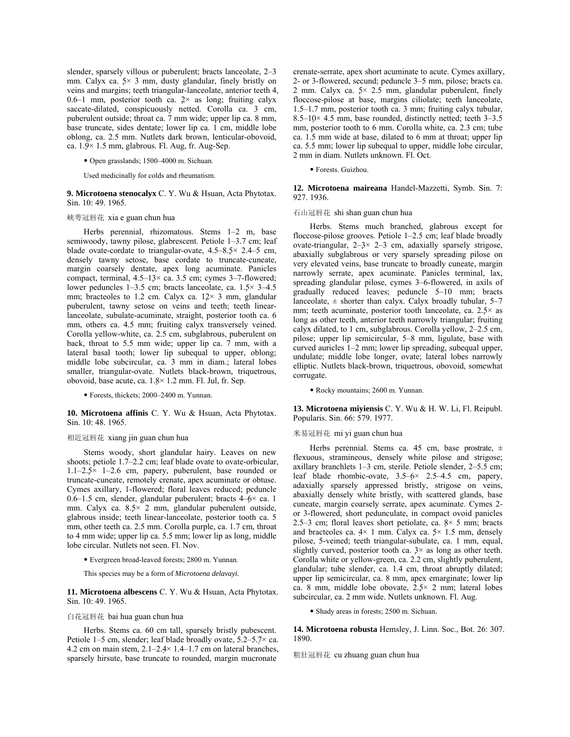slender, sparsely villous or puberulent; bracts lanceolate, 2-3 mm. Calyx ca.  $5 \times 3$  mm, dusty glandular, finely bristly on veins and margins; teeth triangular-lanceolate, anterior teeth 4, 0.6-1 mm, posterior tooth ca.  $2 \times$  as long; fruiting calyx saccate-dilated, conspicuously netted. Corolla ca. 3 cm, puberulent outside; throat ca. 7 mm wide; upper lip ca. 8 mm, base truncate, sides dentate; lower lip ca. 1 cm, middle lobe oblong, ca. 2.5 mm. Nutlets dark brown, lenticular-obovoid, ca. 1.9× 1.5 mm, glabrous. Fl. Aug, fr. Aug-Sep.

• Open grasslands; 1500–4000 m. Sichuan.

Used medicinally for colds and rheumatism.

**9. Microtoena stenocalyx** C. Y. Wu & Hsuan, Acta Phytotax. Sin. 10: 49. 1965.

#### 峡萼冠唇花 xia e guan chun hua

Herbs perennial, rhizomatous. Stems  $1-2$  m, base semiwoody, tawny pilose, glabrescent. Petiole  $1-3.7$  cm; leaf blade ovate-cordate to triangular-ovate,  $4.5-8.5\times 2.4-5$  cm, densely tawny setose, base cordate to truncate-cuneate, margin coarsely dentate, apex long acuminate. Panicles compact, terminal,  $4.5-13\times$  ca. 3.5 cm; cymes 3-7-flowered; lower peduncles 1–3.5 cm; bracts lanceolate, ca.  $1.5 \times 3-4.5$ mm; bracteoles to 1.2 cm. Calyx ca.  $12 \times 3$  mm, glandular puberulent, tawny setose on veins and teeth; teeth linearlanceolate, subulate-acuminate, straight, posterior tooth ca. 6 mm, others ca. 4.5 mm; fruiting calyx transversely veined. Corolla yellow-white, ca. 2.5 cm, subglabrous, puberulent on back, throat to 5.5 mm wide; upper lip ca. 7 mm, with a lateral basal tooth; lower lip subequal to upper, oblong; middle lobe subcircular, ca. 3 mm in diam.; lateral lobes smaller, triangular-ovate. Nutlets black-brown, triquetrous, obovoid, base acute, ca. 1.8× 1.2 mm. Fl. Jul, fr. Sep.

• Forests, thickets; 2000-2400 m. Yunnan.

**10. Microtoena affinis** C. Y. Wu & Hsuan, Acta Phytotax. Sin. 10: 48. 1965.

# 相近冠唇花 xiang jin guan chun hua

Stems woody, short glandular hairy. Leaves on new shoots; petiole 1.7–2.2 cm; leaf blade ovate to ovate-orbicular,  $1.1-2.5\times$  1-2.6 cm, papery, puberulent, base rounded or truncate-cuneate, remotely crenate, apex acuminate or obtuse. Cymes axillary, 1-flowered; floral leaves reduced; peduncle 0.6-1.5 cm, slender, glandular puberulent; bracts  $4-6\times$  ca. 1 mm. Calyx ca. 8.5× 2 mm, glandular puberulent outside, glabrous inside; teeth linear-lanceolate, posterior tooth ca. 5 mm, other teeth ca. 2.5 mm. Corolla purple, ca. 1.7 cm, throat to 4 mm wide; upper lip ca. 5.5 mm; lower lip as long, middle lobe circular. Nutlets not seen. Fl. Nov.

 $\bullet$  Evergreen broad-leaved forests; 2800 m. Yunnan.

This species may be a form of *Microtoena delavayi.*

**11. Microtoena albescens** C. Y. Wu & Hsuan, Acta Phytotax. Sin. 10: 49. 1965.

## 白花冠唇花 bai hua guan chun hua

Herbs. Stems ca. 60 cm tall, sparsely bristly pubescent. Petiole 1–5 cm, slender; leaf blade broadly ovate,  $5.2-5.7\times$  ca. 4.2 cm on main stem,  $2.1-2.4\times 1.4-1.7$  cm on lateral branches, sparsely hirsute, base truncate to rounded, margin mucronate

crenate-serrate, apex short acuminate to acute. Cymes axillary, 2- or 3-flowered, secund; peduncle  $3-5$  mm, pilose; bracts ca. 2 mm. Calyx ca.  $5 \times 2.5$  mm, glandular puberulent, finely floccose-pilose at base, margins ciliolate; teeth lanceolate,  $1.5-1.7$  mm, posterior tooth ca. 3 mm; fruiting calyx tubular, 8.5–10 $\times$  4.5 mm, base rounded, distinctly netted; teeth 3–3.5 mm, posterior tooth to 6 mm. Corolla white, ca. 2.3 cm; tube ca. 1.5 mm wide at base, dilated to 6 mm at throat; upper lip ca. 5.5 mm; lower lip subequal to upper, middle lobe circular, 2 mm in diam. Nutlets unknown. Fl. Oct.

· Forests. Guizhou.

**12. Microtoena maireana** Handel-Mazzetti, Symb. Sin. 7: 927. 1936.

#### 石山冠唇花 shi shan guan chun hua

Herbs. Stems much branched, glabrous except for floccose-pilose grooves. Petiole  $1-2.5$  cm; leaf blade broadly ovate-triangular,  $2-3 \times 2-3$  cm, adaxially sparsely strigose, abaxially subglabrous or very sparsely spreading pilose on very elevated veins, base truncate to broadly cuneate, margin narrowly serrate, apex acuminate. Panicles terminal, lax, spreading glandular pilose, cymes 3–6-flowered, in axils of gradually reduced leaves; peduncle  $5-10$  mm; bracts lanceolate,  $\pm$  shorter than calyx. Calyx broadly tubular, 5–7 mm; teeth acuminate, posterior tooth lanceolate, ca. 2.5× as long as other teeth, anterior teeth narrowly triangular; fruiting calyx dilated, to 1 cm, subglabrous. Corolla yellow,  $2-2.5$  cm, pilose; upper lip semicircular, 5-8 mm, ligulate, base with curved auricles  $1-2$  mm; lower lip spreading, subequal upper, undulate; middle lobe longer, ovate; lateral lobes narrowly elliptic. Nutlets black-brown, triquetrous, obovoid, somewhat corrugate.

• Rocky mountains; 2600 m. Yunnan.

**13. Microtoena miyiensis** C. Y. Wu & H. W. Li, Fl. Reipubl. Popularis. Sin. 66: 579. 1977.

#### 米易冠唇花 mi yi guan chun hua

Herbs perennial. Stems ca. 45 cm, base prostrate,  $\pm$ flexuous, stramineous, densely white pilose and strigose; axillary branchlets  $1-3$  cm, sterile. Petiole slender,  $2-5.5$  cm; leaf blade rhombic-ovate,  $3.5-6 \times 2.5-4.5$  cm, papery, adaxially sparsely appressed bristly, strigose on veins, abaxially densely white bristly, with scattered glands, base cuneate, margin coarsely serrate, apex acuminate. Cymes 2 or 3-flowered, short pedunculate, in compact ovoid panicles 2.5–3 cm; floral leaves short petiolate, ca.  $8 \times 5$  mm; bracts and bracteoles ca.  $4 \times 1$  mm. Calyx ca.  $5 \times 1.5$  mm, densely pilose, 5-veined; teeth triangular-subulate, ca. 1 mm, equal, slightly curved, posterior tooth ca.  $3 \times$  as long as other teeth. Corolla white or yellow-green, ca. 2.2 cm, slightly puberulent, glandular; tube slender, ca. 1.4 cm, throat abruptly dilated; upper lip semicircular, ca. 8 mm, apex emarginate; lower lip ca. 8 mm, middle lobe obovate, 2.5× 2 mm; lateral lobes subcircular, ca. 2 mm wide. Nutlets unknown. Fl. Aug.

• Shady areas in forests; 2500 m. Sichuan.

**14. Microtoena robusta** Hemsley, J. Linn. Soc., Bot. 26: 307. 1890.

粗壮冠唇花 cu zhuang guan chun hua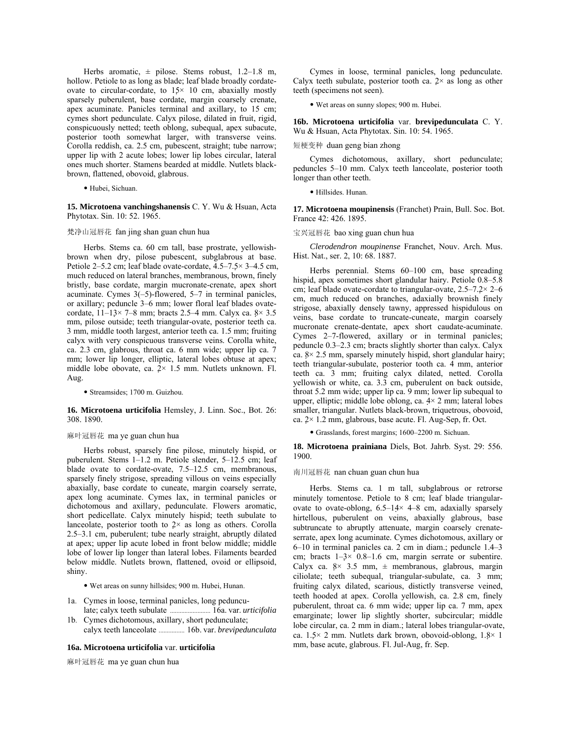Herbs aromatic,  $\pm$  pilose. Stems robust, 1.2–1.8 m, hollow. Petiole to as long as blade; leaf blade broadly cordateovate to circular-cordate, to  $15 \times 10$  cm, abaxially mostly sparsely puberulent, base cordate, margin coarsely crenate, apex acuminate. Panicles terminal and axillary, to 15 cm; cymes short pedunculate. Calyx pilose, dilated in fruit, rigid, conspicuously netted; teeth oblong, subequal, apex subacute, posterior tooth somewhat larger, with transverse veins. Corolla reddish, ca. 2.5 cm, pubescent, straight; tube narrow; upper lip with 2 acute lobes; lower lip lobes circular, lateral ones much shorter. Stamens bearded at middle. Nutlets blackbrown, flattened, obovoid, glabrous.

· Hubei, Sichuan.

**15. Microtoena vanchingshanensis** C. Y. Wu & Hsuan, Acta Phytotax. Sin. 10: 52. 1965.

# 梵净山冠唇花 fan jing shan guan chun hua

Herbs. Stems ca. 60 cm tall, base prostrate, yellowishbrown when dry, pilose pubescent, subglabrous at base. Petiole 2–5.2 cm; leaf blade ovate-cordate,  $4.5-7.5\times$  3–4.5 cm, much reduced on lateral branches, membranous, brown, finely bristly, base cordate, margin mucronate-crenate, apex short acuminate. Cymes  $3(-5)$ -flowered, 5–7 in terminal panicles, or axillary; peduncle 3–6 mm; lower floral leaf blades ovatecordate,  $11-13\times$  7-8 mm; bracts 2.5-4 mm. Calyx ca.  $8\times$  3.5 mm, pilose outside; teeth triangular-ovate, posterior teeth ca. 3 mm, middle tooth largest, anterior teeth ca. 1.5 mm; fruiting calyx with very conspicuous transverse veins. Corolla white, ca. 2.3 cm, glabrous, throat ca. 6 mm wide; upper lip ca. 7 mm; lower lip longer, elliptic, lateral lobes obtuse at apex; middle lobe obovate, ca.  $2 \times 1.5$  mm. Nutlets unknown. Fl. Aug.

ï Streamsides; 1700 m. Guizhou.

## **16. Microtoena urticifolia** Hemsley, J. Linn. Soc., Bot. 26: 308. 1890.

# 麻叶冠唇花 ma ye guan chun hua

Herbs robust, sparsely fine pilose, minutely hispid, or puberulent. Stems 1-1.2 m. Petiole slender, 5-12.5 cm; leaf blade ovate to cordate-ovate,  $7.5-12.5$  cm, membranous, sparsely finely strigose, spreading villous on veins especially abaxially, base cordate to cuneate, margin coarsely serrate, apex long acuminate. Cymes lax, in terminal panicles or dichotomous and axillary, pedunculate. Flowers aromatic, short pedicellate. Calyx minutely hispid; teeth subulate to lanceolate, posterior tooth to 2× as long as others. Corolla  $2.5-3.1$  cm, puberulent; tube nearly straight, abruptly dilated at apex; upper lip acute lobed in front below middle; middle lobe of lower lip longer than lateral lobes. Filaments bearded below middle. Nutlets brown, flattened, ovoid or ellipsoid, shiny.

ï Wet areas on sunny hillsides; 900 m. Hubei, Hunan.

- 1a. Cymes in loose, terminal panicles, long peduncu late; calyx teeth subulate ......................... 16a. var. *urticifolia*
- 1b. Cymes dichotomous, axillary, short pedunculate; calyx teeth lanceolate ................ 16b. var. *brevipedunculata*

#### **16a. Microtoena urticifolia** var. **urticifolia**

麻叶冠唇花 ma ye guan chun hua

Cymes in loose, terminal panicles, long pedunculate. Calyx teeth subulate, posterior tooth ca.  $2 \times$  as long as other teeth (specimens not seen).

ï Wet areas on sunny slopes; 900 m. Hubei.

**16b. Microtoena urticifolia** var. **brevipedunculata** C. Y. Wu & Hsuan, Acta Phytotax. Sin. 10: 54. 1965.

# 短梗变种 duan geng bian zhong

Cymes dichotomous, axillary, short pedunculate; peduncles 5–10 mm. Calyx teeth lanceolate, posterior tooth longer than other teeth.

· Hillsides. Hunan.

**17. Microtoena moupinensis** (Franchet) Prain, Bull. Soc. Bot. France 42: 426. 1895.

#### 宝兴冠唇花 bao xing guan chun hua

*Clerodendron moupinense* Franchet, Nouv. Arch. Mus. Hist. Nat., ser. 2, 10: 68. 1887.

Herbs perennial. Stems  $60-100$  cm, base spreading hispid, apex sometimes short glandular hairy. Petiole 0.8–5.8 cm; leaf blade ovate-cordate to triangular-ovate,  $2.5-7.2 \times 2-6$ cm, much reduced on branches, adaxially brownish finely strigose, abaxially densely tawny, appressed hispidulous on veins, base cordate to truncate-cuneate, margin coarsely mucronate crenate-dentate, apex short caudate-acuminate. Cymes  $2-7$ -flowered, axillary or in terminal panicles; peduncle  $0.3-2.3$  cm; bracts slightly shorter than calyx. Calyx ca.  $8 \times 2.5$  mm, sparsely minutely hispid, short glandular hairy; teeth triangular-subulate, posterior tooth ca. 4 mm, anterior teeth ca. 3 mm; fruiting calyx dilated, netted. Corolla yellowish or white, ca. 3.3 cm, puberulent on back outside, throat 5.2 mm wide; upper lip ca. 9 mm; lower lip subequal to upper, elliptic; middle lobe oblong, ca. 4× 2 mm; lateral lobes smaller, triangular. Nutlets black-brown, triquetrous, obovoid, ca. 2× 1.2 mm, glabrous, base acute. Fl. Aug-Sep, fr. Oct.

 $\bullet$  Grasslands, forest margins; 1600–2200 m. Sichuan.

**18. Microtoena prainiana** Diels, Bot. Jahrb. Syst. 29: 556. 1900.

#### 南川冠唇花 nan chuan guan chun hua

Herbs. Stems ca. 1 m tall, subglabrous or retrorse minutely tomentose. Petiole to 8 cm; leaf blade triangularovate to ovate-oblong,  $6.5-14\times 4-8$  cm, adaxially sparsely hirtellous, puberulent on veins, abaxially glabrous, base subtruncate to abruptly attenuate, margin coarsely crenateserrate, apex long acuminate. Cymes dichotomous, axillary or  $6-10$  in terminal panicles ca. 2 cm in diam.; peduncle  $1.4-3$ cm; bracts  $1-3 \times 0.8-1.6$  cm, margin serrate or subentire. Calyx ca.  $8 \times 3.5$  mm,  $\pm$  membranous, glabrous, margin ciliolate; teeth subequal, triangular-subulate, ca. 3 mm; fruiting calyx dilated, scarious, distictly transverse veined, teeth hooded at apex. Corolla yellowish, ca. 2.8 cm, finely puberulent, throat ca. 6 mm wide; upper lip ca. 7 mm, apex emarginate; lower lip slightly shorter, subcircular; middle lobe circular, ca. 2 mm in diam.; lateral lobes triangular-ovate, ca. 1.5× 2 mm. Nutlets dark brown, obovoid-oblong, 1.8× 1 mm, base acute, glabrous. Fl. Jul-Aug, fr. Sep.